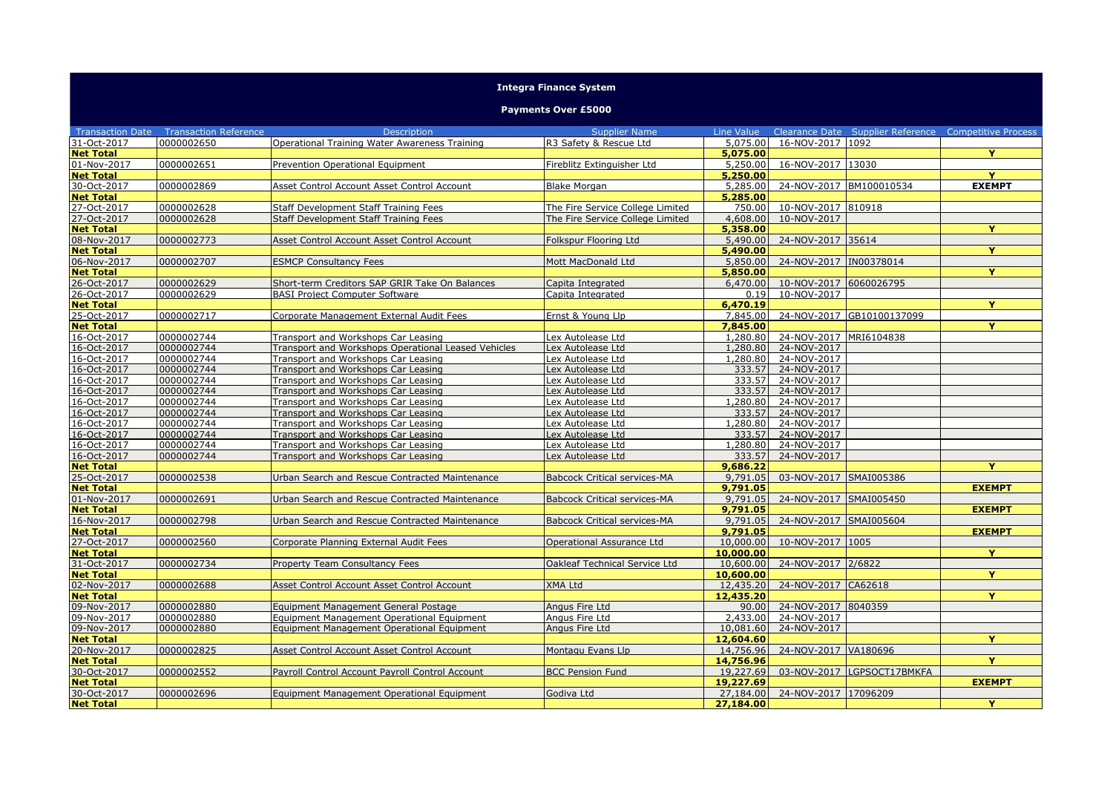| <b>Integra Finance System</b>   |                              |                                                                                         |                                     |                      |                         |                           |                                                       |  |  |  |  |
|---------------------------------|------------------------------|-----------------------------------------------------------------------------------------|-------------------------------------|----------------------|-------------------------|---------------------------|-------------------------------------------------------|--|--|--|--|
| <b>Payments Over £5000</b>      |                              |                                                                                         |                                     |                      |                         |                           |                                                       |  |  |  |  |
| <b>Transaction Date</b>         | <b>Transaction Reference</b> | <b>Description</b>                                                                      | <b>Supplier Name</b>                | Line Value           |                         |                           | Clearance Date Supplier Reference Competitive Process |  |  |  |  |
| $31 - Oct - 2017$               | 0000002650                   | Operational Training Water Awareness Training                                           | R3 Safety & Rescue Ltd              | 5,075,00             | 16-NOV-2017 1092        |                           |                                                       |  |  |  |  |
| <b>Net Total</b>                |                              |                                                                                         |                                     | 5,075,00             |                         |                           | Y                                                     |  |  |  |  |
| 01-Nov-2017                     | 0000002651                   | Prevention Operational Equipment                                                        | Fireblitz Extinguisher Ltd          | 5,250,00             | 16-NOV-2017 13030       |                           |                                                       |  |  |  |  |
| <b>Net Total</b>                |                              |                                                                                         |                                     | 5,250.00             |                         |                           | Ÿ                                                     |  |  |  |  |
| 30-Oct-2017                     | 0000002869                   | Asset Control Account Asset Control Account                                             | <b>Blake Morgan</b>                 | 5,285.00             | 24-NOV-2017 BM100010534 |                           | <b>EXEMPT</b>                                         |  |  |  |  |
| <b>Net Total</b>                |                              |                                                                                         |                                     | 5,285.00             |                         |                           |                                                       |  |  |  |  |
| 27-Oct-2017                     | 0000002628                   | Staff Development Staff Training Fees                                                   | The Fire Service College Limited    | 750.00               | 10-NOV-2017 810918      |                           |                                                       |  |  |  |  |
| 27-Oct-2017                     | 0000002628                   | <b>Staff Development Staff Training Fees</b>                                            | The Fire Service College Limited    | 4,608.00             | 10-NOV-2017             |                           |                                                       |  |  |  |  |
| <b>Net Total</b>                |                              |                                                                                         |                                     | 5,358.00             |                         |                           | v                                                     |  |  |  |  |
| 08-Nov-2017                     | 0000002773                   | Asset Control Account Asset Control Account                                             | Folkspur Flooring Ltd               | 5,490.00             | 24-NOV-2017 35614       |                           | Y                                                     |  |  |  |  |
| <b>Net Total</b>                |                              | <b>ESMCP Consultancy Fees</b>                                                           |                                     | 5,490.00<br>5,850,00 |                         |                           |                                                       |  |  |  |  |
| 06-Nov-2017<br><b>Net Total</b> | 0000002707                   |                                                                                         | Mott MacDonald Ltd                  | 5.850.00             | 24-NOV-2017 IN00378014  |                           | Y.                                                    |  |  |  |  |
| 26-Oct-2017                     | 0000002629                   |                                                                                         |                                     | 6,470,00             | 10-NOV-2017             | 6060026795                |                                                       |  |  |  |  |
| 26-Oct-2017                     | 0000002629                   | Short-term Creditors SAP GRIR Take On Balances<br><b>BASI Project Computer Software</b> | Capita Integrated                   | 0.19                 | 10-NOV-2017             |                           |                                                       |  |  |  |  |
| <b>Net Total</b>                |                              |                                                                                         | Capita Integrated                   | 6,470.19             |                         |                           | v.                                                    |  |  |  |  |
| 25-Oct-2017                     | 0000002717                   | Corporate Management External Audit Fees                                                | Ernst & Young Llp                   | 7,845.00             |                         | 24-NOV-2017 GB10100137099 |                                                       |  |  |  |  |
| <b>Net Total</b>                |                              |                                                                                         |                                     | 7,845,00             |                         |                           | Y                                                     |  |  |  |  |
| 16-Oct-2017                     | 0000002744                   | Transport and Workshops Car Leasing                                                     | Lex Autolease Ltd                   | 1,280.80             | 24-NOV-2017             | MRI6104838                |                                                       |  |  |  |  |
| 16-Oct-2017                     | 0000002744                   | Transport and Workshops Operational Leased Vehicles                                     | Lex Autolease Ltd                   | 1,280.80             | 24-NOV-2017             |                           |                                                       |  |  |  |  |
| 16-Oct-2017                     | 0000002744                   | Transport and Workshops Car Leasing                                                     | Lex Autolease Ltd                   | 1,280.80             | 24-NOV-2017             |                           |                                                       |  |  |  |  |
| 16-Oct-2017                     | 0000002744                   | Transport and Workshops Car Leasing                                                     | Lex Autolease Ltd                   | 333.57               | 24-NOV-2017             |                           |                                                       |  |  |  |  |
| 16-Oct-2017                     | 0000002744                   | Transport and Workshops Car Leasing                                                     | Lex Autolease Ltd                   | 333.57               | 24-NOV-2017             |                           |                                                       |  |  |  |  |
| 16-Oct-2017                     | 0000002744                   | Transport and Workshops Car Leasing                                                     | Lex Autolease Ltd                   | 333.57               | 24-NOV-2017             |                           |                                                       |  |  |  |  |
| 16-Oct-2017                     | 0000002744                   | Transport and Workshops Car Leasing                                                     | Lex Autolease Ltd                   | 1,280.80             | 24-NOV-2017             |                           |                                                       |  |  |  |  |
| 16-Oct-2017                     | 0000002744                   | Transport and Workshops Car Leasing                                                     | Lex Autolease Ltd                   | 333.57               | 24-NOV-2017             |                           |                                                       |  |  |  |  |
| 16-Oct-2017                     | 0000002744                   | Transport and Workshops Car Leasing                                                     | Lex Autolease Ltd                   | 1,280.80             | 24-NOV-2017             |                           |                                                       |  |  |  |  |
| 16-Oct-2017                     | 0000002744                   | Transport and Workshops Car Leasing                                                     | Lex Autolease Ltd                   | 333.57               | 24-NOV-2017             |                           |                                                       |  |  |  |  |
| 16-Oct-2017                     | 0000002744                   | Transport and Workshops Car Leasing                                                     | Lex Autolease Ltd                   | 1,280.80             | 24-NOV-2017             |                           |                                                       |  |  |  |  |
| 16-Oct-2017                     | 0000002744                   | Transport and Workshops Car Leasing                                                     | Lex Autolease Ltd                   | 333.57               | 24-NOV-2017             |                           |                                                       |  |  |  |  |
| <b>Net Total</b>                |                              |                                                                                         |                                     | 9,686.22             |                         |                           | Y                                                     |  |  |  |  |
| 25-Oct-2017                     | 0000002538                   | Urban Search and Rescue Contracted Maintenance                                          | <b>Babcock Critical services-MA</b> | 9.791.05             | 03-NOV-2017 SMAI005386  |                           |                                                       |  |  |  |  |
| <b>Net Total</b>                |                              |                                                                                         |                                     | 9,791.05             |                         |                           | <b>EXEMPT</b>                                         |  |  |  |  |
| 01-Nov-2017                     | 0000002691                   | Urban Search and Rescue Contracted Maintenance                                          | <b>Babcock Critical services-MA</b> | 9,791.05             | 24-NOV-2017 SMAI005450  |                           |                                                       |  |  |  |  |
| <b>Net Total</b>                |                              |                                                                                         |                                     | 9,791.05             |                         |                           | <b>EXEMPT</b>                                         |  |  |  |  |
| 16-Nov-2017                     | 0000002798                   | Urban Search and Rescue Contracted Maintenance                                          | <b>Babcock Critical services-MA</b> | 9,791.05             | 24-NOV-2017 SMAI005604  |                           |                                                       |  |  |  |  |
| <b>Net Total</b>                |                              |                                                                                         |                                     | 9,791.05             |                         |                           | <b>EXEMPT</b>                                         |  |  |  |  |
| 27-Oct-2017                     | 0000002560                   | Corporate Planning External Audit Fees                                                  | Operational Assurance Ltd           | 10,000.00            | 10-NOV-2017 1005        |                           |                                                       |  |  |  |  |
| <b>Net Total</b>                |                              |                                                                                         |                                     | 10,000.00            |                         |                           | Y                                                     |  |  |  |  |
| 31-Oct-2017                     | 0000002734                   | Property Team Consultancy Fees                                                          | Oakleaf Technical Service Ltd       | 10,600.00            | 24-NOV-2017 2/6822      |                           |                                                       |  |  |  |  |
| <b>Net Total</b>                |                              |                                                                                         |                                     | 10,600.00            |                         |                           | v.                                                    |  |  |  |  |
| 02-Nov-2017                     | 0000002688                   | Asset Control Account Asset Control Account                                             | <b>XMA Ltd</b>                      | 12,435.20            | 24-NOV-2017 CA62618     |                           |                                                       |  |  |  |  |
| <b>Net Total</b>                |                              |                                                                                         |                                     | 12,435.20            |                         |                           | Y                                                     |  |  |  |  |
| 09-Nov-2017                     | 0000002880                   | Equipment Management General Postage                                                    | Angus Fire Ltd                      | 90.00                | 24-NOV-2017 8040359     |                           |                                                       |  |  |  |  |
| 09-Nov-2017                     | 0000002880                   | Equipment Management Operational Equipment                                              | Angus Fire Ltd                      | 2,433,00             | 24-NOV-2017             |                           |                                                       |  |  |  |  |
| 09-Nov-2017                     | 0000002880                   | Equipment Management Operational Equipment                                              | Angus Fire Ltd                      | 10,081.60            | 24-NOV-2017             |                           |                                                       |  |  |  |  |
| <b>Net Total</b>                |                              |                                                                                         |                                     | 12,604.60            |                         |                           | Y                                                     |  |  |  |  |
| 20-Nov-2017                     | 0000002825                   | Asset Control Account Asset Control Account                                             | Montagu Evans Llp                   | 14,756.96            | 24-NOV-2017 VA180696    |                           |                                                       |  |  |  |  |
| <b>Net Total</b>                |                              |                                                                                         |                                     | 14,756.96            |                         |                           | Y                                                     |  |  |  |  |
| 30-Oct-2017                     | 0000002552                   | Payroll Control Account Payroll Control Account                                         | <b>BCC Pension Fund</b>             | 19,227.69            | 03-NOV-2017             | LGPSOCT17BMKFA            |                                                       |  |  |  |  |
| <b>Net Total</b>                |                              |                                                                                         |                                     | 19.227.69            | 24-NOV-2017 17096209    |                           | <b>EXEMPT</b>                                         |  |  |  |  |
| 30-Oct-2017                     | 0000002696                   | Equipment Management Operational Equipment                                              | Godiva Ltd                          | 27,184,00            |                         |                           | Y                                                     |  |  |  |  |
| <b>Net Total</b>                |                              |                                                                                         |                                     | 27,184,00            |                         |                           |                                                       |  |  |  |  |